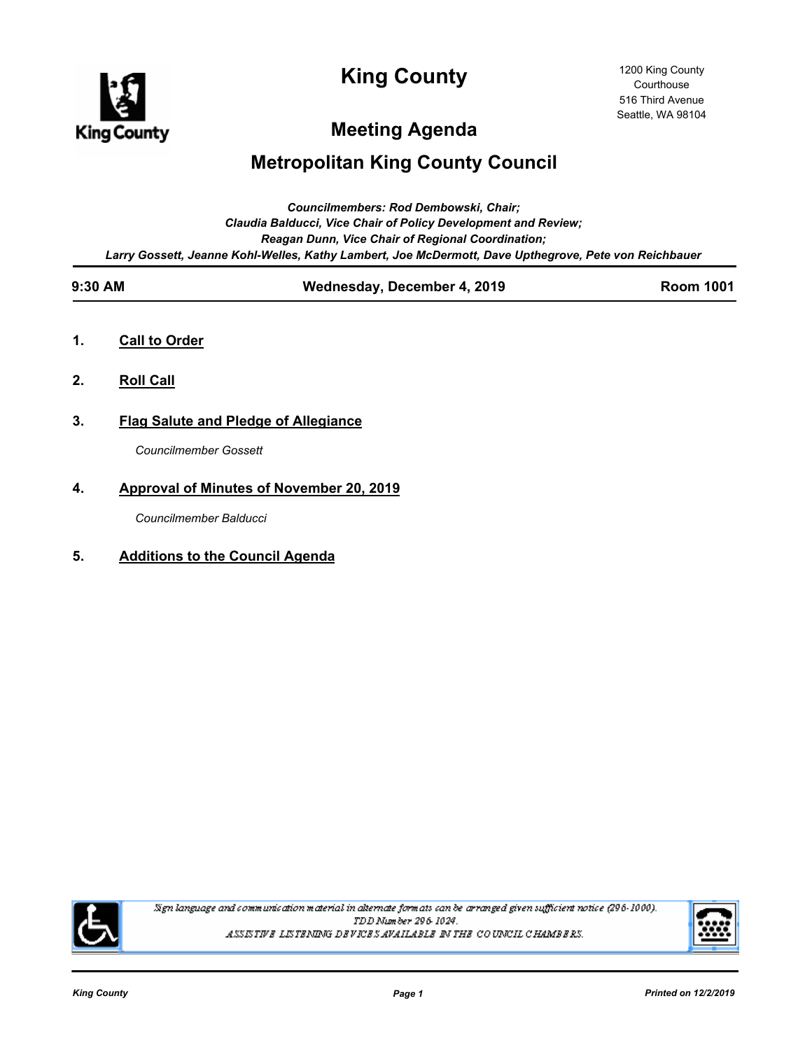

**King County**

# **Meeting Agenda**

# **Metropolitan King County Council**

|                                                          |                                                                                                       | Councilmembers: Rod Dembowski, Chair;       |                  |  |
|----------------------------------------------------------|-------------------------------------------------------------------------------------------------------|---------------------------------------------|------------------|--|
|                                                          | Claudia Balducci, Vice Chair of Policy Development and Review;                                        |                                             |                  |  |
| <b>Reagan Dunn, Vice Chair of Regional Coordination;</b> |                                                                                                       |                                             |                  |  |
|                                                          | Larry Gossett, Jeanne Kohl-Welles, Kathy Lambert, Joe McDermott, Dave Upthegrove, Pete von Reichbauer |                                             |                  |  |
|                                                          | $9:30$ AM                                                                                             | Wednesday, December 4, 2019                 | <b>Room 1001</b> |  |
| 1.                                                       | <b>Call to Order</b>                                                                                  |                                             |                  |  |
| 2.                                                       | <b>Roll Call</b>                                                                                      |                                             |                  |  |
| 3.                                                       |                                                                                                       | <b>Flag Salute and Pledge of Allegiance</b> |                  |  |
|                                                          | <b>Councilmember Gossett</b>                                                                          |                                             |                  |  |
| 4.                                                       | Approval of Minutes of November 20, 2019                                                              |                                             |                  |  |
|                                                          | Councilmember Balducci                                                                                |                                             |                  |  |
| 5.                                                       | <b>Additions to the Council Agenda</b>                                                                |                                             |                  |  |



Sign language and communication material in alternate formats can be arranged given sufficient notice (296-1000). TDD Number 296-1024. ASSISTIVE LISTENING DEVICES AVAILABLE IN THE COUNCIL CHAMBERS.

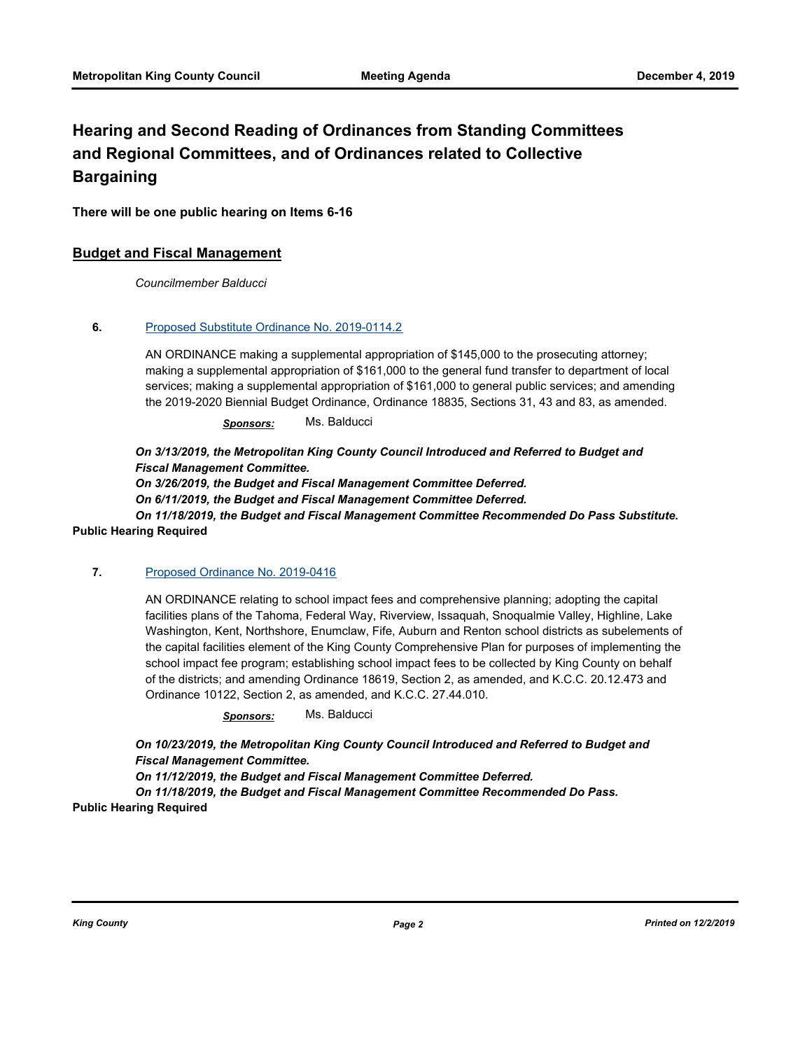## **Hearing and Second Reading of Ordinances from Standing Committees and Regional Committees, and of Ordinances related to Collective Bargaining**

**There will be one public hearing on Items 6-16**

## **Budget and Fiscal Management**

*Councilmember Balducci*

## **6.** [Proposed Substitute Ordinance No. 2019-0114.2](http://kingcounty.legistar.com/gateway.aspx?m=l&id=/matter.aspx?key=20060)

AN ORDINANCE making a supplemental appropriation of \$145,000 to the prosecuting attorney; making a supplemental appropriation of \$161,000 to the general fund transfer to department of local services; making a supplemental appropriation of \$161,000 to general public services; and amending the 2019-2020 Biennial Budget Ordinance, Ordinance 18835, Sections 31, 43 and 83, as amended.

*Sponsors:* Ms. Balducci

*On 3/13/2019, the Metropolitan King County Council Introduced and Referred to Budget and Fiscal Management Committee.* 

*On 3/26/2019, the Budget and Fiscal Management Committee Deferred. On 6/11/2019, the Budget and Fiscal Management Committee Deferred. On 11/18/2019, the Budget and Fiscal Management Committee Recommended Do Pass Substitute.*

#### **Public Hearing Required**

#### **7.** [Proposed Ordinance No. 2019-0416](http://kingcounty.legistar.com/gateway.aspx?m=l&id=/matter.aspx?key=20672)

AN ORDINANCE relating to school impact fees and comprehensive planning; adopting the capital facilities plans of the Tahoma, Federal Way, Riverview, Issaquah, Snoqualmie Valley, Highline, Lake Washington, Kent, Northshore, Enumclaw, Fife, Auburn and Renton school districts as subelements of the capital facilities element of the King County Comprehensive Plan for purposes of implementing the school impact fee program; establishing school impact fees to be collected by King County on behalf of the districts; and amending Ordinance 18619, Section 2, as amended, and K.C.C. 20.12.473 and Ordinance 10122, Section 2, as amended, and K.C.C. 27.44.010.

*Sponsors:* Ms. Balducci

*On 10/23/2019, the Metropolitan King County Council Introduced and Referred to Budget and Fiscal Management Committee.* 

*On 11/12/2019, the Budget and Fiscal Management Committee Deferred.* 

*On 11/18/2019, the Budget and Fiscal Management Committee Recommended Do Pass.* **Public Hearing Required**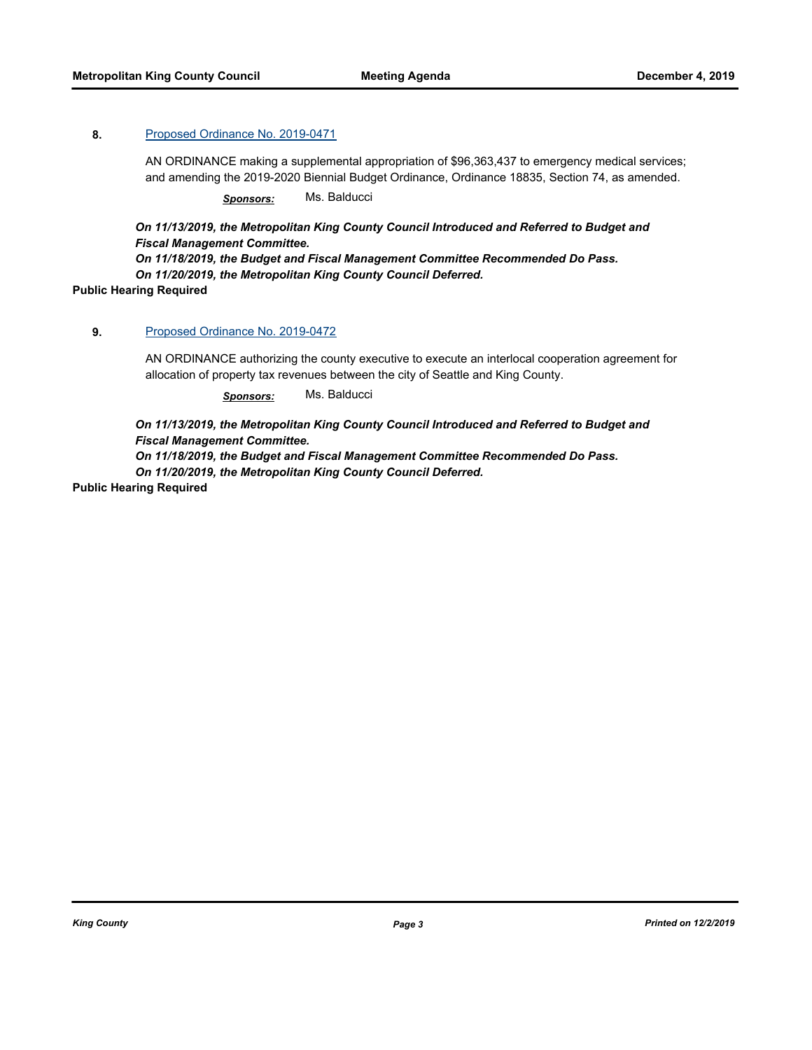## **8.** [Proposed Ordinance No. 2019-0471](http://kingcounty.legistar.com/gateway.aspx?m=l&id=/matter.aspx?key=20769)

AN ORDINANCE making a supplemental appropriation of \$96,363,437 to emergency medical services; and amending the 2019-2020 Biennial Budget Ordinance, Ordinance 18835, Section 74, as amended.

*Sponsors:* Ms. Balducci

*On 11/13/2019, the Metropolitan King County Council Introduced and Referred to Budget and Fiscal Management Committee.* 

*On 11/18/2019, the Budget and Fiscal Management Committee Recommended Do Pass.* 

*On 11/20/2019, the Metropolitan King County Council Deferred.*

**Public Hearing Required**

#### **9.** [Proposed Ordinance No. 2019-0472](http://kingcounty.legistar.com/gateway.aspx?m=l&id=/matter.aspx?key=20770)

AN ORDINANCE authorizing the county executive to execute an interlocal cooperation agreement for allocation of property tax revenues between the city of Seattle and King County.

*Sponsors:* Ms. Balducci

*On 11/13/2019, the Metropolitan King County Council Introduced and Referred to Budget and Fiscal Management Committee.* 

*On 11/18/2019, the Budget and Fiscal Management Committee Recommended Do Pass. On 11/20/2019, the Metropolitan King County Council Deferred.*

**Public Hearing Required**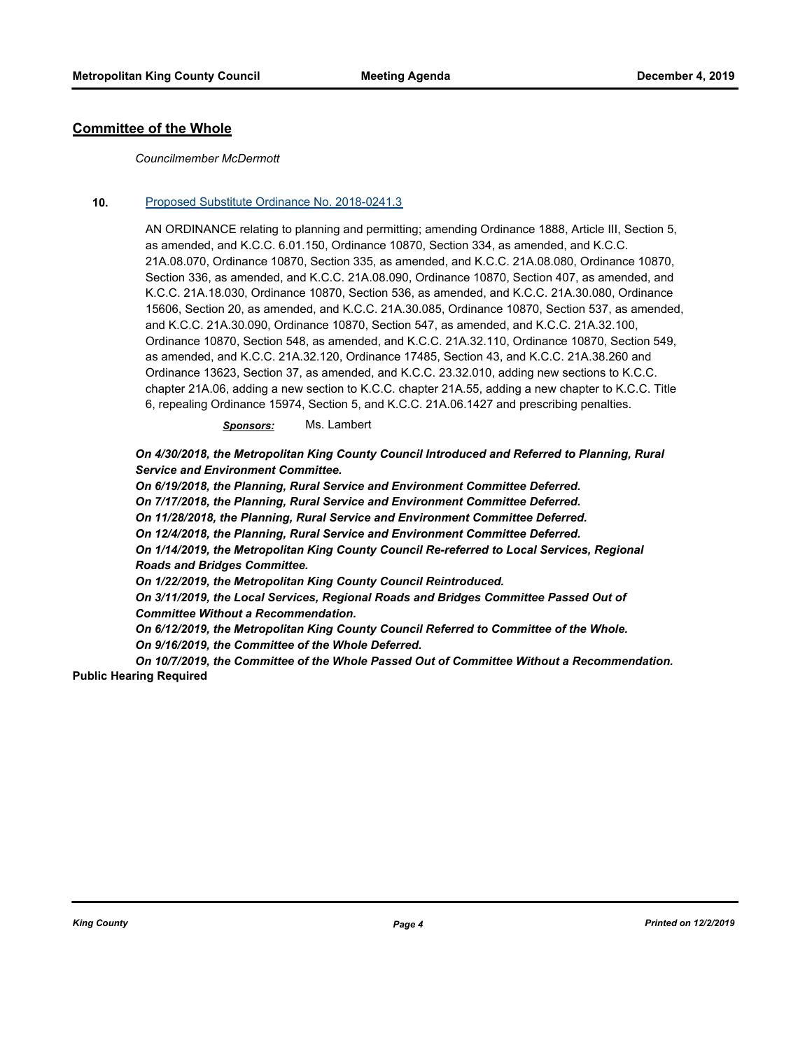## **Committee of the Whole**

#### *Councilmember McDermott*

#### **10.** [Proposed Substitute Ordinance No. 2018-0241.3](http://kingcounty.legistar.com/gateway.aspx?m=l&id=/matter.aspx?key=19248)

AN ORDINANCE relating to planning and permitting; amending Ordinance 1888, Article III, Section 5, as amended, and K.C.C. 6.01.150, Ordinance 10870, Section 334, as amended, and K.C.C. 21A.08.070, Ordinance 10870, Section 335, as amended, and K.C.C. 21A.08.080, Ordinance 10870, Section 336, as amended, and K.C.C. 21A.08.090, Ordinance 10870, Section 407, as amended, and K.C.C. 21A.18.030, Ordinance 10870, Section 536, as amended, and K.C.C. 21A.30.080, Ordinance 15606, Section 20, as amended, and K.C.C. 21A.30.085, Ordinance 10870, Section 537, as amended, and K.C.C. 21A.30.090, Ordinance 10870, Section 547, as amended, and K.C.C. 21A.32.100, Ordinance 10870, Section 548, as amended, and K.C.C. 21A.32.110, Ordinance 10870, Section 549, as amended, and K.C.C. 21A.32.120, Ordinance 17485, Section 43, and K.C.C. 21A.38.260 and Ordinance 13623, Section 37, as amended, and K.C.C. 23.32.010, adding new sections to K.C.C. chapter 21A.06, adding a new section to K.C.C. chapter 21A.55, adding a new chapter to K.C.C. Title 6, repealing Ordinance 15974, Section 5, and K.C.C. 21A.06.1427 and prescribing penalties.

*Sponsors:* Ms. Lambert

*On 4/30/2018, the Metropolitan King County Council Introduced and Referred to Planning, Rural Service and Environment Committee.* 

*On 6/19/2018, the Planning, Rural Service and Environment Committee Deferred. On 7/17/2018, the Planning, Rural Service and Environment Committee Deferred. On 11/28/2018, the Planning, Rural Service and Environment Committee Deferred. On 12/4/2018, the Planning, Rural Service and Environment Committee Deferred. On 1/14/2019, the Metropolitan King County Council Re-referred to Local Services, Regional Roads and Bridges Committee. On 1/22/2019, the Metropolitan King County Council Reintroduced. On 3/11/2019, the Local Services, Regional Roads and Bridges Committee Passed Out of* 

*Committee Without a Recommendation. On 6/12/2019, the Metropolitan King County Council Referred to Committee of the Whole. On 9/16/2019, the Committee of the Whole Deferred.* 

*On 10/7/2019, the Committee of the Whole Passed Out of Committee Without a Recommendation.* **Public Hearing Required**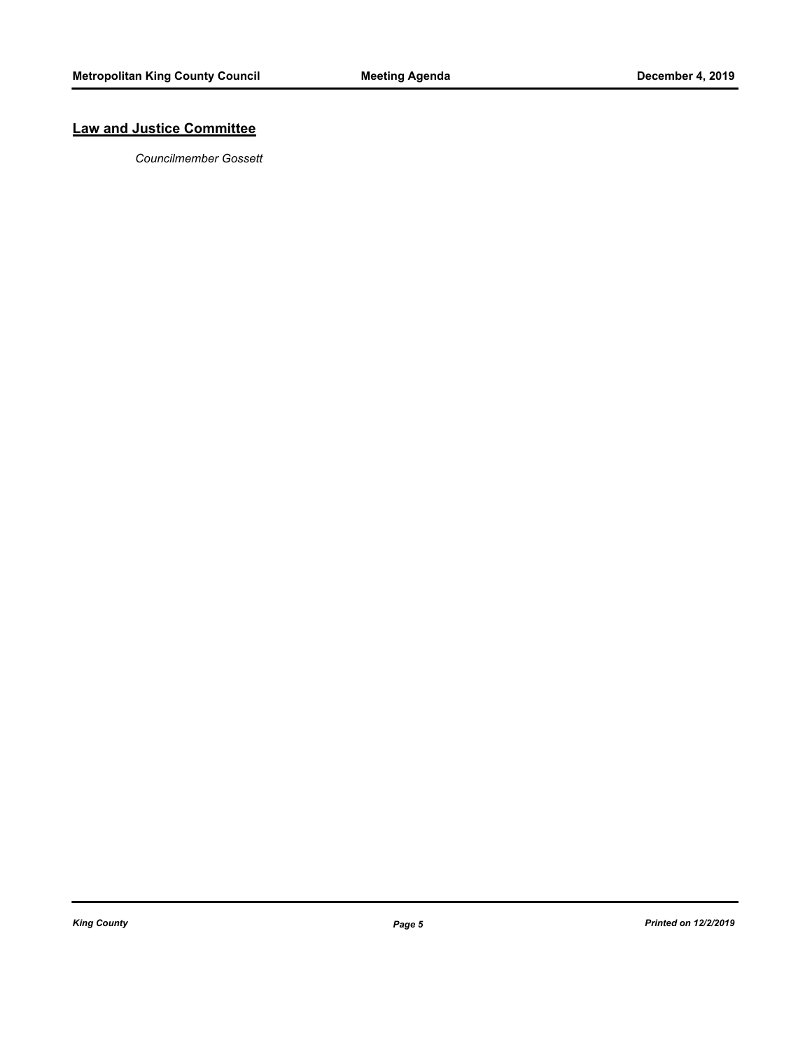## **Law and Justice Committee**

*Councilmember Gossett*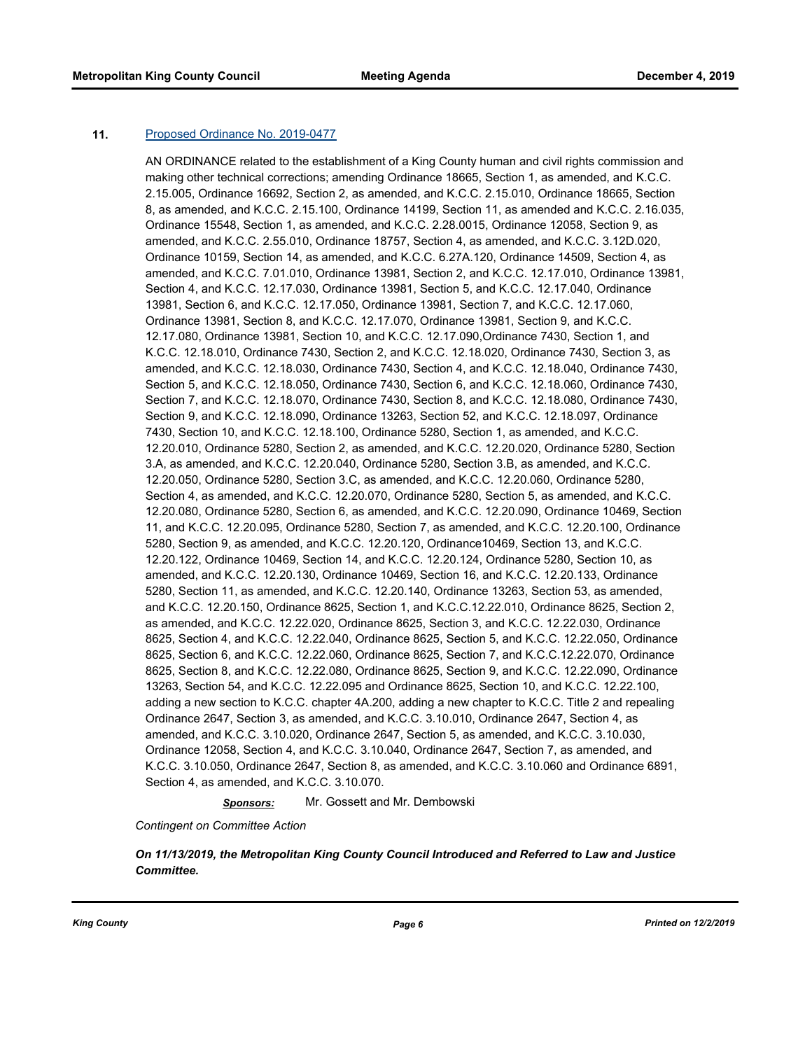#### **11.** [Proposed Ordinance No. 2019-0477](http://kingcounty.legistar.com/gateway.aspx?m=l&id=/matter.aspx?key=20775)

AN ORDINANCE related to the establishment of a King County human and civil rights commission and making other technical corrections; amending Ordinance 18665, Section 1, as amended, and K.C.C. 2.15.005, Ordinance 16692, Section 2, as amended, and K.C.C. 2.15.010, Ordinance 18665, Section 8, as amended, and K.C.C. 2.15.100, Ordinance 14199, Section 11, as amended and K.C.C. 2.16.035, Ordinance 15548, Section 1, as amended, and K.C.C. 2.28.0015, Ordinance 12058, Section 9, as amended, and K.C.C. 2.55.010, Ordinance 18757, Section 4, as amended, and K.C.C. 3.12D.020, Ordinance 10159, Section 14, as amended, and K.C.C. 6.27A.120, Ordinance 14509, Section 4, as amended, and K.C.C. 7.01.010, Ordinance 13981, Section 2, and K.C.C. 12.17.010, Ordinance 13981, Section 4, and K.C.C. 12.17.030, Ordinance 13981, Section 5, and K.C.C. 12.17.040, Ordinance 13981, Section 6, and K.C.C. 12.17.050, Ordinance 13981, Section 7, and K.C.C. 12.17.060, Ordinance 13981, Section 8, and K.C.C. 12.17.070, Ordinance 13981, Section 9, and K.C.C. 12.17.080, Ordinance 13981, Section 10, and K.C.C. 12.17.090,Ordinance 7430, Section 1, and K.C.C. 12.18.010, Ordinance 7430, Section 2, and K.C.C. 12.18.020, Ordinance 7430, Section 3, as amended, and K.C.C. 12.18.030, Ordinance 7430, Section 4, and K.C.C. 12.18.040, Ordinance 7430, Section 5, and K.C.C. 12.18.050, Ordinance 7430, Section 6, and K.C.C. 12.18.060, Ordinance 7430, Section 7, and K.C.C. 12.18.070, Ordinance 7430, Section 8, and K.C.C. 12.18.080, Ordinance 7430, Section 9, and K.C.C. 12.18.090, Ordinance 13263, Section 52, and K.C.C. 12.18.097, Ordinance 7430, Section 10, and K.C.C. 12.18.100, Ordinance 5280, Section 1, as amended, and K.C.C. 12.20.010, Ordinance 5280, Section 2, as amended, and K.C.C. 12.20.020, Ordinance 5280, Section 3.A, as amended, and K.C.C. 12.20.040, Ordinance 5280, Section 3.B, as amended, and K.C.C. 12.20.050, Ordinance 5280, Section 3.C, as amended, and K.C.C. 12.20.060, Ordinance 5280, Section 4, as amended, and K.C.C. 12.20.070, Ordinance 5280, Section 5, as amended, and K.C.C. 12.20.080, Ordinance 5280, Section 6, as amended, and K.C.C. 12.20.090, Ordinance 10469, Section 11, and K.C.C. 12.20.095, Ordinance 5280, Section 7, as amended, and K.C.C. 12.20.100, Ordinance 5280, Section 9, as amended, and K.C.C. 12.20.120, Ordinance10469, Section 13, and K.C.C. 12.20.122, Ordinance 10469, Section 14, and K.C.C. 12.20.124, Ordinance 5280, Section 10, as amended, and K.C.C. 12.20.130, Ordinance 10469, Section 16, and K.C.C. 12.20.133, Ordinance 5280, Section 11, as amended, and K.C.C. 12.20.140, Ordinance 13263, Section 53, as amended, and K.C.C. 12.20.150, Ordinance 8625, Section 1, and K.C.C.12.22.010, Ordinance 8625, Section 2, as amended, and K.C.C. 12.22.020, Ordinance 8625, Section 3, and K.C.C. 12.22.030, Ordinance 8625, Section 4, and K.C.C. 12.22.040, Ordinance 8625, Section 5, and K.C.C. 12.22.050, Ordinance 8625, Section 6, and K.C.C. 12.22.060, Ordinance 8625, Section 7, and K.C.C.12.22.070, Ordinance 8625, Section 8, and K.C.C. 12.22.080, Ordinance 8625, Section 9, and K.C.C. 12.22.090, Ordinance 13263, Section 54, and K.C.C. 12.22.095 and Ordinance 8625, Section 10, and K.C.C. 12.22.100, adding a new section to K.C.C. chapter 4A.200, adding a new chapter to K.C.C. Title 2 and repealing Ordinance 2647, Section 3, as amended, and K.C.C. 3.10.010, Ordinance 2647, Section 4, as amended, and K.C.C. 3.10.020, Ordinance 2647, Section 5, as amended, and K.C.C. 3.10.030, Ordinance 12058, Section 4, and K.C.C. 3.10.040, Ordinance 2647, Section 7, as amended, and K.C.C. 3.10.050, Ordinance 2647, Section 8, as amended, and K.C.C. 3.10.060 and Ordinance 6891, Section 4, as amended, and K.C.C. 3.10.070.

*Sponsors:* Mr. Gossett and Mr. Dembowski

*Contingent on Committee Action*

*On 11/13/2019, the Metropolitan King County Council Introduced and Referred to Law and Justice Committee.*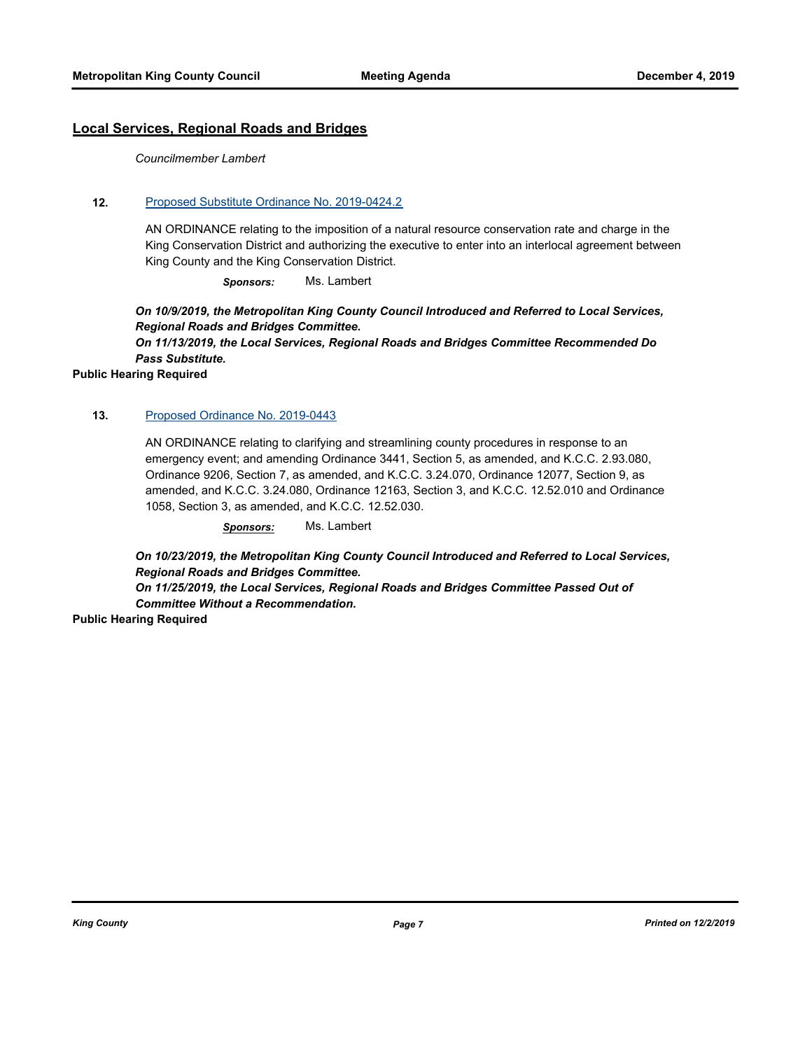## **Local Services, Regional Roads and Bridges**

*Councilmember Lambert*

## **12.** [Proposed Substitute Ordinance No. 2019-0424.2](http://kingcounty.legistar.com/gateway.aspx?m=l&id=/matter.aspx?key=20688)

AN ORDINANCE relating to the imposition of a natural resource conservation rate and charge in the King Conservation District and authorizing the executive to enter into an interlocal agreement between King County and the King Conservation District.

*Sponsors:* Ms. Lambert

*On 10/9/2019, the Metropolitan King County Council Introduced and Referred to Local Services, Regional Roads and Bridges Committee.* 

*On 11/13/2019, the Local Services, Regional Roads and Bridges Committee Recommended Do Pass Substitute.*

**Public Hearing Required**

## **13.** [Proposed Ordinance No. 2019-0443](http://kingcounty.legistar.com/gateway.aspx?m=l&id=/matter.aspx?key=20709)

AN ORDINANCE relating to clarifying and streamlining county procedures in response to an emergency event; and amending Ordinance 3441, Section 5, as amended, and K.C.C. 2.93.080, Ordinance 9206, Section 7, as amended, and K.C.C. 3.24.070, Ordinance 12077, Section 9, as amended, and K.C.C. 3.24.080, Ordinance 12163, Section 3, and K.C.C. 12.52.010 and Ordinance 1058, Section 3, as amended, and K.C.C. 12.52.030.

*Sponsors:* Ms. Lambert

*On 10/23/2019, the Metropolitan King County Council Introduced and Referred to Local Services, Regional Roads and Bridges Committee.* 

*On 11/25/2019, the Local Services, Regional Roads and Bridges Committee Passed Out of Committee Without a Recommendation.*

**Public Hearing Required**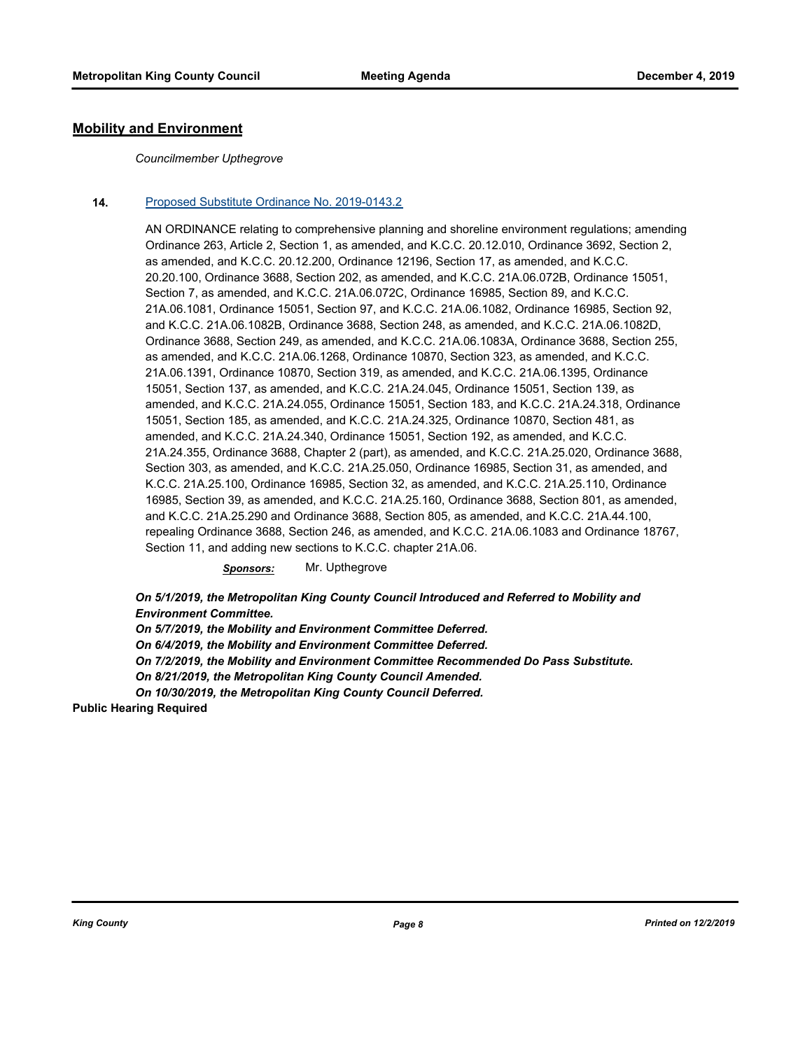## **Mobility and Environment**

#### *Councilmember Upthegrove*

## **14.** [Proposed Substitute Ordinance No. 2019-0143.2](http://kingcounty.legistar.com/gateway.aspx?m=l&id=/matter.aspx?key=20134)

AN ORDINANCE relating to comprehensive planning and shoreline environment regulations; amending Ordinance 263, Article 2, Section 1, as amended, and K.C.C. 20.12.010, Ordinance 3692, Section 2, as amended, and K.C.C. 20.12.200, Ordinance 12196, Section 17, as amended, and K.C.C. 20.20.100, Ordinance 3688, Section 202, as amended, and K.C.C. 21A.06.072B, Ordinance 15051, Section 7, as amended, and K.C.C. 21A.06.072C, Ordinance 16985, Section 89, and K.C.C. 21A.06.1081, Ordinance 15051, Section 97, and K.C.C. 21A.06.1082, Ordinance 16985, Section 92, and K.C.C. 21A.06.1082B, Ordinance 3688, Section 248, as amended, and K.C.C. 21A.06.1082D, Ordinance 3688, Section 249, as amended, and K.C.C. 21A.06.1083A, Ordinance 3688, Section 255, as amended, and K.C.C. 21A.06.1268, Ordinance 10870, Section 323, as amended, and K.C.C. 21A.06.1391, Ordinance 10870, Section 319, as amended, and K.C.C. 21A.06.1395, Ordinance 15051, Section 137, as amended, and K.C.C. 21A.24.045, Ordinance 15051, Section 139, as amended, and K.C.C. 21A.24.055, Ordinance 15051, Section 183, and K.C.C. 21A.24.318, Ordinance 15051, Section 185, as amended, and K.C.C. 21A.24.325, Ordinance 10870, Section 481, as amended, and K.C.C. 21A.24.340, Ordinance 15051, Section 192, as amended, and K.C.C. 21A.24.355, Ordinance 3688, Chapter 2 (part), as amended, and K.C.C. 21A.25.020, Ordinance 3688, Section 303, as amended, and K.C.C. 21A.25.050, Ordinance 16985, Section 31, as amended, and K.C.C. 21A.25.100, Ordinance 16985, Section 32, as amended, and K.C.C. 21A.25.110, Ordinance 16985, Section 39, as amended, and K.C.C. 21A.25.160, Ordinance 3688, Section 801, as amended, and K.C.C. 21A.25.290 and Ordinance 3688, Section 805, as amended, and K.C.C. 21A.44.100, repealing Ordinance 3688, Section 246, as amended, and K.C.C. 21A.06.1083 and Ordinance 18767, Section 11, and adding new sections to K.C.C. chapter 21A.06.

*Sponsors:* Mr. Upthegrove

*On 5/1/2019, the Metropolitan King County Council Introduced and Referred to Mobility and Environment Committee.* 

*On 5/7/2019, the Mobility and Environment Committee Deferred. On 6/4/2019, the Mobility and Environment Committee Deferred. On 7/2/2019, the Mobility and Environment Committee Recommended Do Pass Substitute. On 8/21/2019, the Metropolitan King County Council Amended. On 10/30/2019, the Metropolitan King County Council Deferred.*

**Public Hearing Required**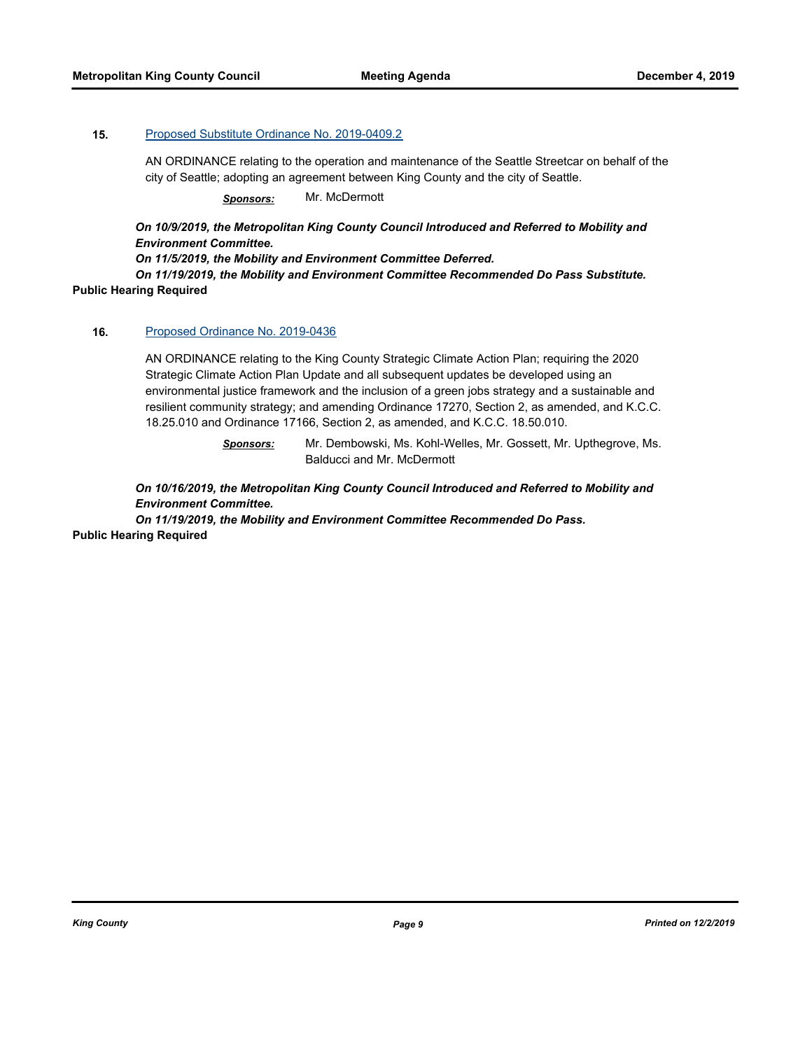## **15.** [Proposed Substitute Ordinance No. 2019-0409.2](http://kingcounty.legistar.com/gateway.aspx?m=l&id=/matter.aspx?key=20655)

AN ORDINANCE relating to the operation and maintenance of the Seattle Streetcar on behalf of the city of Seattle; adopting an agreement between King County and the city of Seattle.

*Sponsors:* Mr. McDermott

*On 10/9/2019, the Metropolitan King County Council Introduced and Referred to Mobility and Environment Committee.* 

*On 11/5/2019, the Mobility and Environment Committee Deferred.* 

*On 11/19/2019, the Mobility and Environment Committee Recommended Do Pass Substitute.* **Public Hearing Required**

#### **16.** [Proposed Ordinance No. 2019-0436](http://kingcounty.legistar.com/gateway.aspx?m=l&id=/matter.aspx?key=20701)

AN ORDINANCE relating to the King County Strategic Climate Action Plan; requiring the 2020 Strategic Climate Action Plan Update and all subsequent updates be developed using an environmental justice framework and the inclusion of a green jobs strategy and a sustainable and resilient community strategy; and amending Ordinance 17270, Section 2, as amended, and K.C.C. 18.25.010 and Ordinance 17166, Section 2, as amended, and K.C.C. 18.50.010.

> *Sponsors:* Mr. Dembowski, Ms. Kohl-Welles, Mr. Gossett, Mr. Upthegrove, Ms. Balducci and Mr. McDermott

*On 10/16/2019, the Metropolitan King County Council Introduced and Referred to Mobility and Environment Committee.* 

*On 11/19/2019, the Mobility and Environment Committee Recommended Do Pass.* **Public Hearing Required**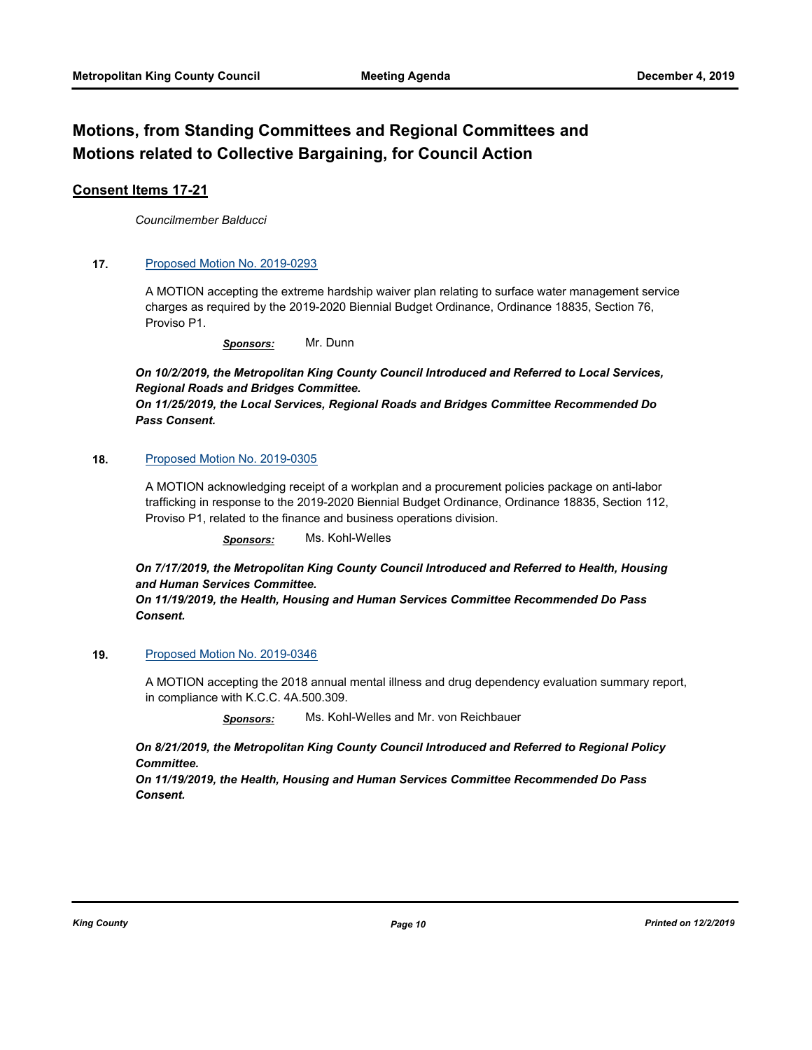## **Motions, from Standing Committees and Regional Committees and Motions related to Collective Bargaining, for Council Action**

## **Consent Items 17-21**

*Councilmember Balducci*

## **17.** [Proposed Motion No. 2019-0293](http://kingcounty.legistar.com/gateway.aspx?m=l&id=/matter.aspx?key=20438)

A MOTION accepting the extreme hardship waiver plan relating to surface water management service charges as required by the 2019-2020 Biennial Budget Ordinance, Ordinance 18835, Section 76, Proviso P1.

*Sponsors:* Mr. Dunn

*On 10/2/2019, the Metropolitan King County Council Introduced and Referred to Local Services, Regional Roads and Bridges Committee.* 

*On 11/25/2019, the Local Services, Regional Roads and Bridges Committee Recommended Do Pass Consent.*

## **18.** [Proposed Motion No. 2019-0305](http://kingcounty.legistar.com/gateway.aspx?m=l&id=/matter.aspx?key=20460)

A MOTION acknowledging receipt of a workplan and a procurement policies package on anti-labor trafficking in response to the 2019-2020 Biennial Budget Ordinance, Ordinance 18835, Section 112, Proviso P1, related to the finance and business operations division.

*Sponsors:* Ms. Kohl-Welles

*On 7/17/2019, the Metropolitan King County Council Introduced and Referred to Health, Housing and Human Services Committee.* 

*On 11/19/2019, the Health, Housing and Human Services Committee Recommended Do Pass Consent.*

## **19.** [Proposed Motion No. 2019-0346](http://kingcounty.legistar.com/gateway.aspx?m=l&id=/matter.aspx?key=20529)

A MOTION accepting the 2018 annual mental illness and drug dependency evaluation summary report, in compliance with K.C.C. 4A.500.309.

*Sponsors:* Ms. Kohl-Welles and Mr. von Reichbauer

*On 8/21/2019, the Metropolitan King County Council Introduced and Referred to Regional Policy Committee.* 

*On 11/19/2019, the Health, Housing and Human Services Committee Recommended Do Pass Consent.*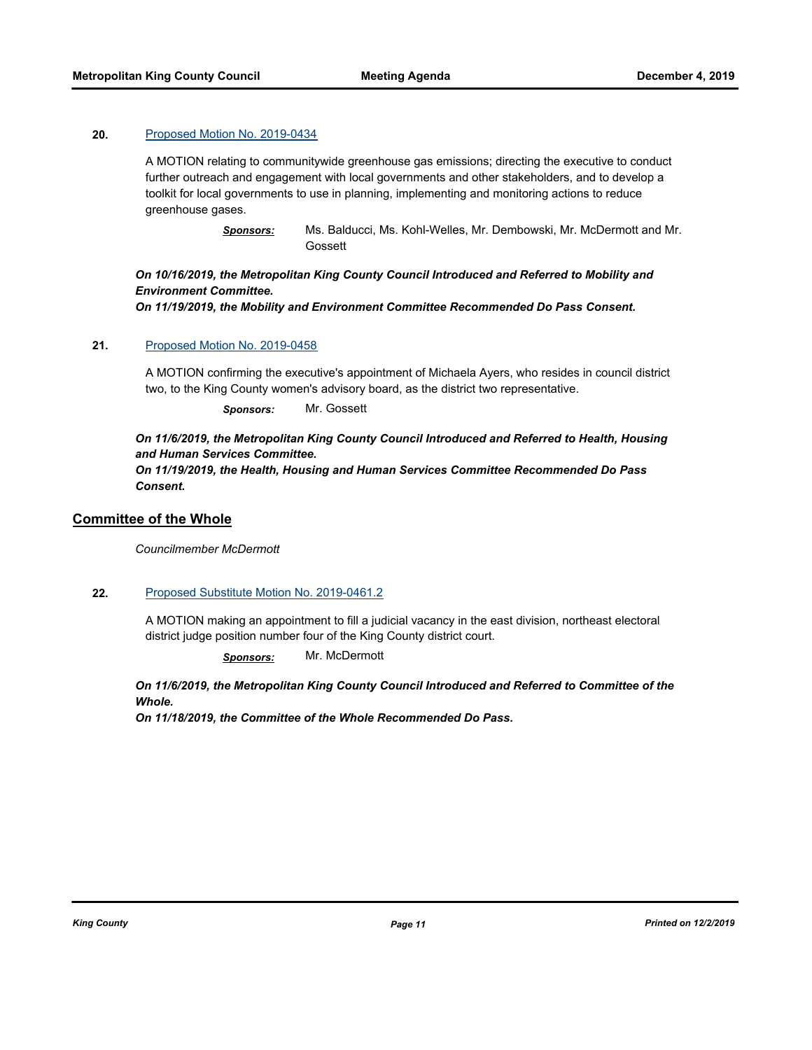## **20.** [Proposed Motion No. 2019-0434](http://kingcounty.legistar.com/gateway.aspx?m=l&id=/matter.aspx?key=20699)

A MOTION relating to communitywide greenhouse gas emissions; directing the executive to conduct further outreach and engagement with local governments and other stakeholders, and to develop a toolkit for local governments to use in planning, implementing and monitoring actions to reduce greenhouse gases.

> *Sponsors:* Ms. Balducci, Ms. Kohl-Welles, Mr. Dembowski, Mr. McDermott and Mr. **Gossett**

## *On 10/16/2019, the Metropolitan King County Council Introduced and Referred to Mobility and Environment Committee.*

*On 11/19/2019, the Mobility and Environment Committee Recommended Do Pass Consent.*

## **21.** [Proposed Motion No. 2019-0458](http://kingcounty.legistar.com/gateway.aspx?m=l&id=/matter.aspx?key=20738)

A MOTION confirming the executive's appointment of Michaela Ayers, who resides in council district two, to the King County women's advisory board, as the district two representative.

*Sponsors:* Mr. Gossett

*On 11/6/2019, the Metropolitan King County Council Introduced and Referred to Health, Housing and Human Services Committee.* 

*On 11/19/2019, the Health, Housing and Human Services Committee Recommended Do Pass Consent.*

## **Committee of the Whole**

*Councilmember McDermott*

#### **22.** [Proposed Substitute Motion No. 2019-0461.2](http://kingcounty.legistar.com/gateway.aspx?m=l&id=/matter.aspx?key=20749)

A MOTION making an appointment to fill a judicial vacancy in the east division, northeast electoral district judge position number four of the King County district court.

*Sponsors:* Mr. McDermott

*On 11/6/2019, the Metropolitan King County Council Introduced and Referred to Committee of the Whole.* 

*On 11/18/2019, the Committee of the Whole Recommended Do Pass.*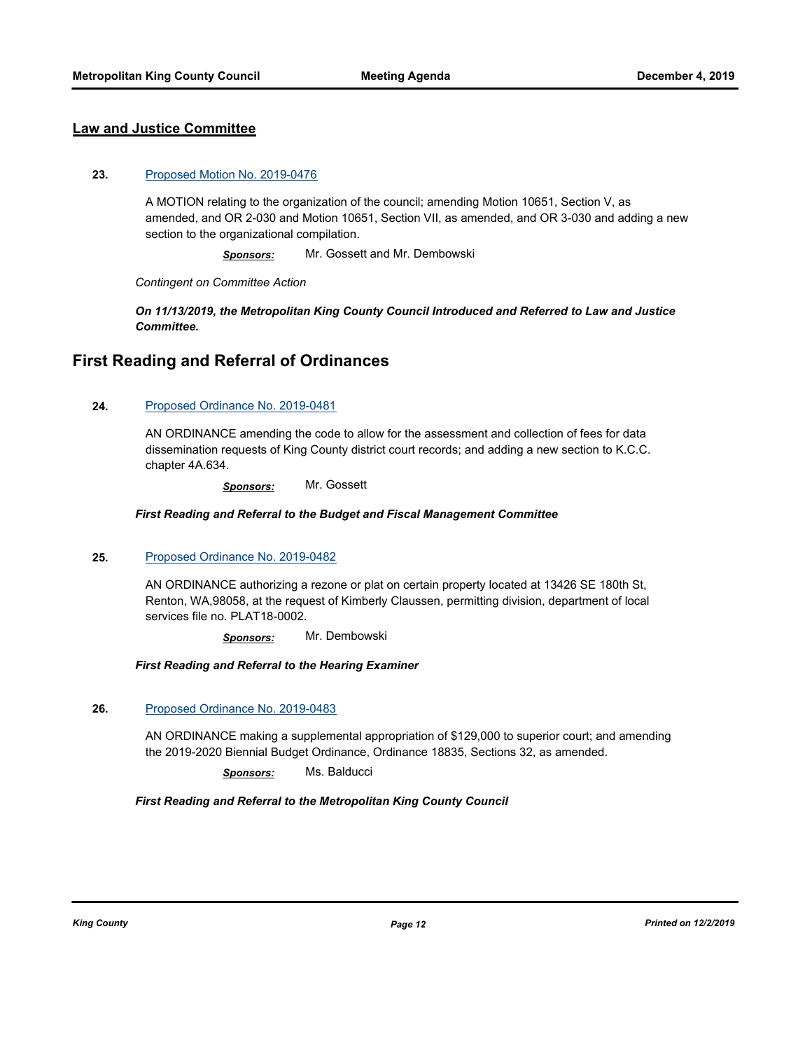## **Law and Justice Committee**

#### **23.** [Proposed Motion No. 2019-0476](http://kingcounty.legistar.com/gateway.aspx?m=l&id=/matter.aspx?key=20774)

A MOTION relating to the organization of the council; amending Motion 10651, Section V, as amended, and OR 2-030 and Motion 10651, Section VII, as amended, and OR 3-030 and adding a new section to the organizational compilation.

*Sponsors:* Mr. Gossett and Mr. Dembowski

*Contingent on Committee Action*

*On 11/13/2019, the Metropolitan King County Council Introduced and Referred to Law and Justice Committee.*

## **First Reading and Referral of Ordinances**

### **24.** [Proposed Ordinance No. 2019-0481](http://kingcounty.legistar.com/gateway.aspx?m=l&id=/matter.aspx?key=20785)

AN ORDINANCE amending the code to allow for the assessment and collection of fees for data dissemination requests of King County district court records; and adding a new section to K.C.C. chapter 4A.634.

*Sponsors:* Mr. Gossett

#### *First Reading and Referral to the Budget and Fiscal Management Committee*

#### **25.** [Proposed Ordinance No. 2019-0482](http://kingcounty.legistar.com/gateway.aspx?m=l&id=/matter.aspx?key=20788)

AN ORDINANCE authorizing a rezone or plat on certain property located at 13426 SE 180th St, Renton, WA,98058, at the request of Kimberly Claussen, permitting division, department of local services file no. PLAT18-0002.

*Sponsors:* Mr. Dembowski

*First Reading and Referral to the Hearing Examiner*

### **26.** [Proposed Ordinance No. 2019-0483](http://kingcounty.legistar.com/gateway.aspx?m=l&id=/matter.aspx?key=20790)

AN ORDINANCE making a supplemental appropriation of \$129,000 to superior court; and amending the 2019-2020 Biennial Budget Ordinance, Ordinance 18835, Sections 32, as amended.

*Sponsors:* Ms. Balducci

*First Reading and Referral to the Metropolitan King County Council*